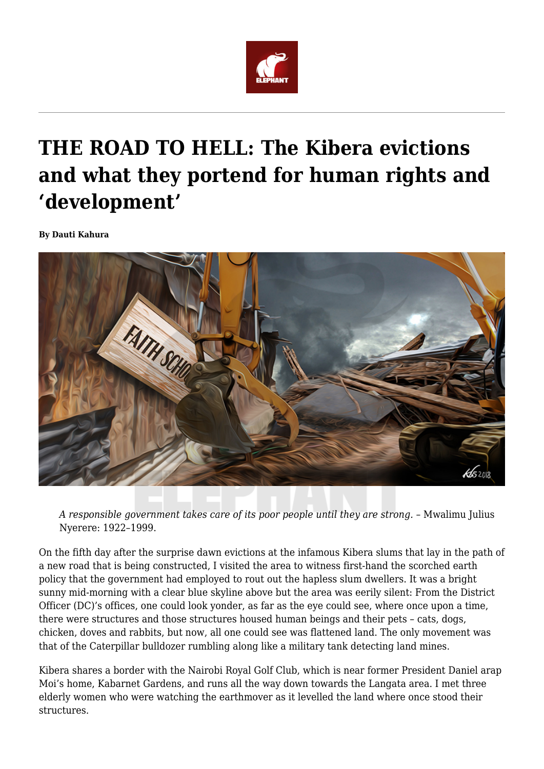

## **THE ROAD TO HELL: The Kibera evictions and what they portend for human rights and 'development'**

**By Dauti Kahura**



*A responsible government takes care of its poor people until they are strong. –* Mwalimu Julius Nyerere: 1922–1999.

On the fifth day after the surprise dawn evictions at the infamous Kibera slums that lay in the path of a new road that is being constructed, I visited the area to witness first-hand the scorched earth policy that the government had employed to rout out the hapless slum dwellers. It was a bright sunny mid-morning with a clear blue skyline above but the area was eerily silent: From the District Officer (DC)'s offices, one could look yonder, as far as the eye could see, where once upon a time, there were structures and those structures housed human beings and their pets – cats, dogs, chicken, doves and rabbits, but now, all one could see was flattened land. The only movement was that of the Caterpillar bulldozer rumbling along like a military tank detecting land mines.

Kibera shares a border with the Nairobi Royal Golf Club, which is near former President Daniel arap Moi's home, Kabarnet Gardens, and runs all the way down towards the Langata area. I met three elderly women who were watching the earthmover as it levelled the land where once stood their structures.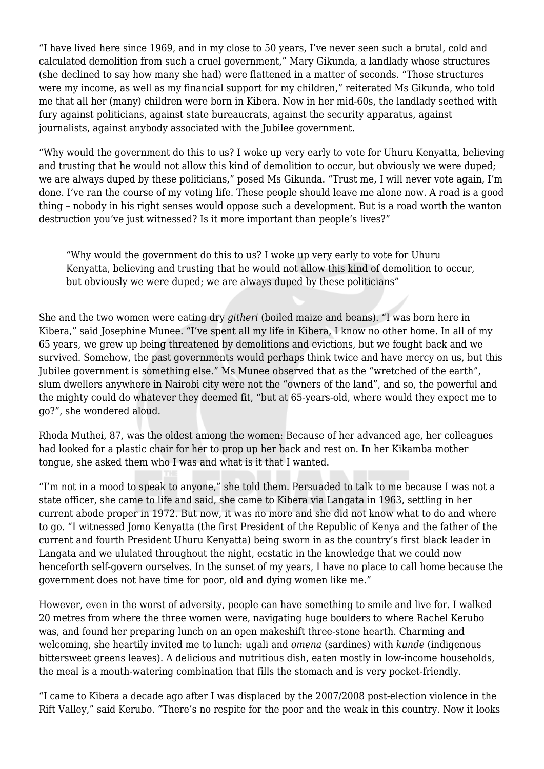"I have lived here since 1969, and in my close to 50 years, I've never seen such a brutal, cold and calculated demolition from such a cruel government," Mary Gikunda, a landlady whose structures (she declined to say how many she had) were flattened in a matter of seconds. "Those structures were my income, as well as my financial support for my children," reiterated Ms Gikunda, who told me that all her (many) children were born in Kibera. Now in her mid-60s, the landlady seethed with fury against politicians, against state bureaucrats, against the security apparatus, against journalists, against anybody associated with the Jubilee government.

"Why would the government do this to us? I woke up very early to vote for Uhuru Kenyatta, believing and trusting that he would not allow this kind of demolition to occur, but obviously we were duped; we are always duped by these politicians," posed Ms Gikunda. "Trust me, I will never vote again, I'm done. I've ran the course of my voting life. These people should leave me alone now. A road is a good thing – nobody in his right senses would oppose such a development. But is a road worth the wanton destruction you've just witnessed? Is it more important than people's lives?"

"Why would the government do this to us? I woke up very early to vote for Uhuru Kenyatta, believing and trusting that he would not allow this kind of demolition to occur, but obviously we were duped; we are always duped by these politicians"

She and the two women were eating dry *githeri* (boiled maize and beans). "I was born here in Kibera," said Josephine Munee. "I've spent all my life in Kibera, I know no other home. In all of my 65 years, we grew up being threatened by demolitions and evictions, but we fought back and we survived. Somehow, the past governments would perhaps think twice and have mercy on us, but this Jubilee government is something else." Ms Munee observed that as the "wretched of the earth", slum dwellers anywhere in Nairobi city were not the "owners of the land", and so, the powerful and the mighty could do whatever they deemed fit, "but at 65-years-old, where would they expect me to go?", she wondered aloud.

Rhoda Muthei, 87, was the oldest among the women: Because of her advanced age, her colleagues had looked for a plastic chair for her to prop up her back and rest on. In her Kikamba mother tongue, she asked them who I was and what is it that I wanted.

"I'm not in a mood to speak to anyone," she told them. Persuaded to talk to me because I was not a state officer, she came to life and said, she came to Kibera via Langata in 1963, settling in her current abode proper in 1972. But now, it was no more and she did not know what to do and where to go. "I witnessed Jomo Kenyatta (the first President of the Republic of Kenya and the father of the current and fourth President Uhuru Kenyatta) being sworn in as the country's first black leader in Langata and we ululated throughout the night, ecstatic in the knowledge that we could now henceforth self-govern ourselves. In the sunset of my years, I have no place to call home because the government does not have time for poor, old and dying women like me."

However, even in the worst of adversity, people can have something to smile and live for. I walked 20 metres from where the three women were, navigating huge boulders to where Rachel Kerubo was, and found her preparing lunch on an open makeshift three-stone hearth. Charming and welcoming, she heartily invited me to lunch: ugali and *omena* (sardines) with *kunde* (indigenous bittersweet greens leaves). A delicious and nutritious dish, eaten mostly in low-income households, the meal is a mouth-watering combination that fills the stomach and is very pocket-friendly.

"I came to Kibera a decade ago after I was displaced by the 2007/2008 post-election violence in the Rift Valley," said Kerubo. "There's no respite for the poor and the weak in this country. Now it looks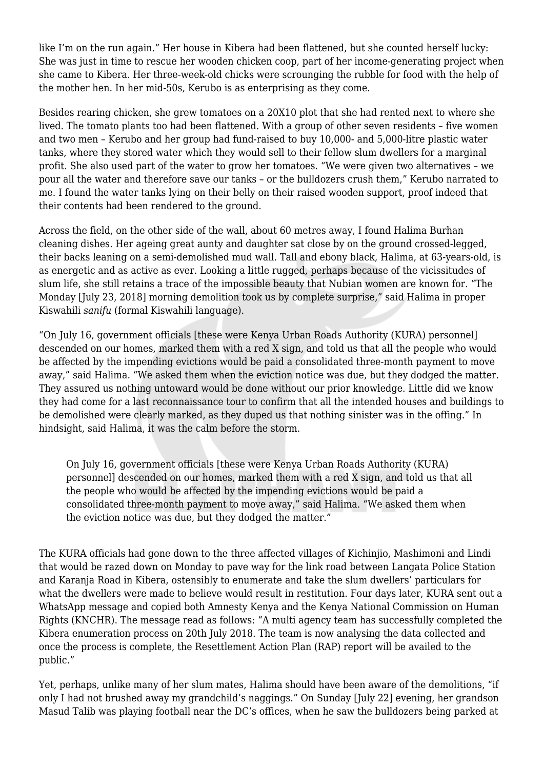like I'm on the run again." Her house in Kibera had been flattened, but she counted herself lucky: She was just in time to rescue her wooden chicken coop, part of her income-generating project when she came to Kibera. Her three-week-old chicks were scrounging the rubble for food with the help of the mother hen. In her mid-50s, Kerubo is as enterprising as they come.

Besides rearing chicken, she grew tomatoes on a 20X10 plot that she had rented next to where she lived. The tomato plants too had been flattened. With a group of other seven residents – five women and two men – Kerubo and her group had fund-raised to buy 10,000- and 5,000-litre plastic water tanks, where they stored water which they would sell to their fellow slum dwellers for a marginal profit. She also used part of the water to grow her tomatoes. "We were given two alternatives – we pour all the water and therefore save our tanks – or the bulldozers crush them," Kerubo narrated to me. I found the water tanks lying on their belly on their raised wooden support, proof indeed that their contents had been rendered to the ground.

Across the field, on the other side of the wall, about 60 metres away, I found Halima Burhan cleaning dishes. Her ageing great aunty and daughter sat close by on the ground crossed-legged, their backs leaning on a semi-demolished mud wall. Tall and ebony black, Halima, at 63-years-old, is as energetic and as active as ever. Looking a little rugged, perhaps because of the vicissitudes of slum life, she still retains a trace of the impossible beauty that Nubian women are known for. "The Monday [July 23, 2018] morning demolition took us by complete surprise," said Halima in proper Kiswahili *sanifu* (formal Kiswahili language).

"On July 16, government officials [these were Kenya Urban Roads Authority (KURA) personnel] descended on our homes, marked them with a red X sign, and told us that all the people who would be affected by the impending evictions would be paid a consolidated three-month payment to move away," said Halima. "We asked them when the eviction notice was due, but they dodged the matter. They assured us nothing untoward would be done without our prior knowledge. Little did we know they had come for a last reconnaissance tour to confirm that all the intended houses and buildings to be demolished were clearly marked, as they duped us that nothing sinister was in the offing." In hindsight, said Halima, it was the calm before the storm.

On July 16, government officials [these were Kenya Urban Roads Authority (KURA) personnel] descended on our homes, marked them with a red X sign, and told us that all the people who would be affected by the impending evictions would be paid a consolidated three-month payment to move away," said Halima. "We asked them when the eviction notice was due, but they dodged the matter."

The KURA officials had gone down to the three affected villages of Kichinjio, Mashimoni and Lindi that would be razed down on Monday to pave way for the link road between Langata Police Station and Karanja Road in Kibera, ostensibly to enumerate and take the slum dwellers' particulars for what the dwellers were made to believe would result in restitution. Four days later, KURA sent out a WhatsApp message and copied both Amnesty Kenya and the Kenya National Commission on Human Rights (KNCHR). The message read as follows: "A multi agency team has successfully completed the Kibera enumeration process on 20th July 2018. The team is now analysing the data collected and once the process is complete, the Resettlement Action Plan (RAP) report will be availed to the public."

Yet, perhaps, unlike many of her slum mates, Halima should have been aware of the demolitions, "if only I had not brushed away my grandchild's naggings." On Sunday [July 22] evening, her grandson Masud Talib was playing football near the DC's offices, when he saw the bulldozers being parked at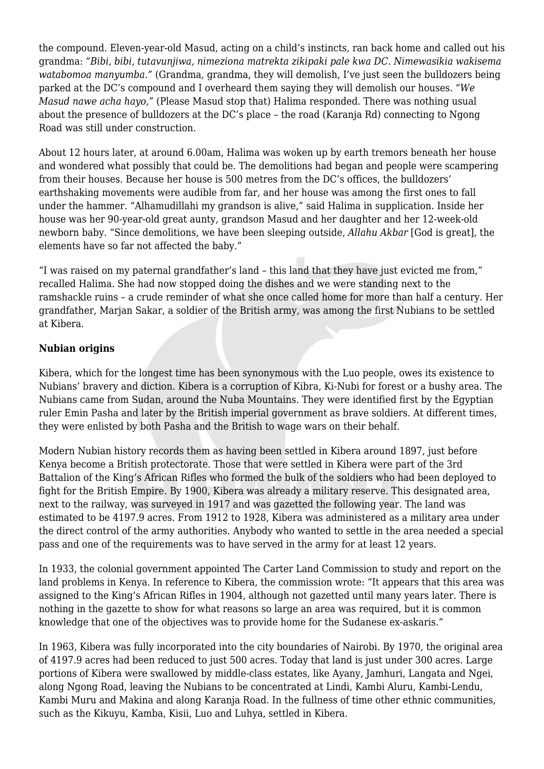the compound. Eleven-year-old Masud, acting on a child's instincts, ran back home and called out his grandma: *"Bibi, bibi, tutavunjiwa, nimeziona matrekta zikipaki pale kwa DC. Nimewasikia wakisema watabomoa manyumba."* (Grandma, grandma, they will demolish, I've just seen the bulldozers being parked at the DC's compound and I overheard them saying they will demolish our houses. "*We Masud nawe acha hayo,"* (Please Masud stop that) Halima responded. There was nothing usual about the presence of bulldozers at the DC's place – the road (Karanja Rd) connecting to Ngong Road was still under construction.

About 12 hours later, at around 6.00am, Halima was woken up by earth tremors beneath her house and wondered what possibly that could be. The demolitions had began and people were scampering from their houses. Because her house is 500 metres from the DC's offices, the bulldozers' earthshaking movements were audible from far, and her house was among the first ones to fall under the hammer. "Alhamudillahi my grandson is alive," said Halima in supplication. Inside her house was her 90-year-old great aunty, grandson Masud and her daughter and her 12-week-old newborn baby. "Since demolitions, we have been sleeping outside, *Allahu Akbar* [God is great], the elements have so far not affected the baby."

"I was raised on my paternal grandfather's land – this land that they have just evicted me from," recalled Halima. She had now stopped doing the dishes and we were standing next to the ramshackle ruins – a crude reminder of what she once called home for more than half a century. Her grandfather, Marjan Sakar, a soldier of the British army, was among the first Nubians to be settled at Kibera.

## **Nubian origins**

Kibera, which for the longest time has been synonymous with the Luo people, owes its existence to Nubians' bravery and diction. Kibera is a corruption of Kibra, Ki-Nubi for forest or a bushy area. The Nubians came from Sudan, around the Nuba Mountains. They were identified first by the Egyptian ruler Emin Pasha and later by the British imperial government as brave soldiers. At different times, they were enlisted by both Pasha and the British to wage wars on their behalf.

Modern Nubian history records them as having been settled in Kibera around 1897, just before Kenya become a British protectorate. Those that were settled in Kibera were part of the 3rd Battalion of the King's African Rifles who formed the bulk of the soldiers who had been deployed to fight for the British Empire. By 1900, Kibera was already a military reserve. This designated area, next to the railway, was surveyed in 1917 and was gazetted the following year. The land was estimated to be 4197.9 acres. From 1912 to 1928, Kibera was administered as a military area under the direct control of the army authorities. Anybody who wanted to settle in the area needed a special pass and one of the requirements was to have served in the army for at least 12 years.

In 1933, the colonial government appointed The Carter Land Commission to study and report on the land problems in Kenya. In reference to Kibera, the commission wrote: "It appears that this area was assigned to the King's African Rifles in 1904, although not gazetted until many years later. There is nothing in the gazette to show for what reasons so large an area was required, but it is common knowledge that one of the objectives was to provide home for the Sudanese ex-askaris."

In 1963, Kibera was fully incorporated into the city boundaries of Nairobi. By 1970, the original area of 4197.9 acres had been reduced to just 500 acres. Today that land is just under 300 acres. Large portions of Kibera were swallowed by middle-class estates, like Ayany, Jamhuri, Langata and Ngei, along Ngong Road, leaving the Nubians to be concentrated at Lindi, Kambi Aluru, Kambi-Lendu, Kambi Muru and Makina and along Karanja Road. In the fullness of time other ethnic communities, such as the Kikuyu, Kamba, Kisii, Luo and Luhya, settled in Kibera.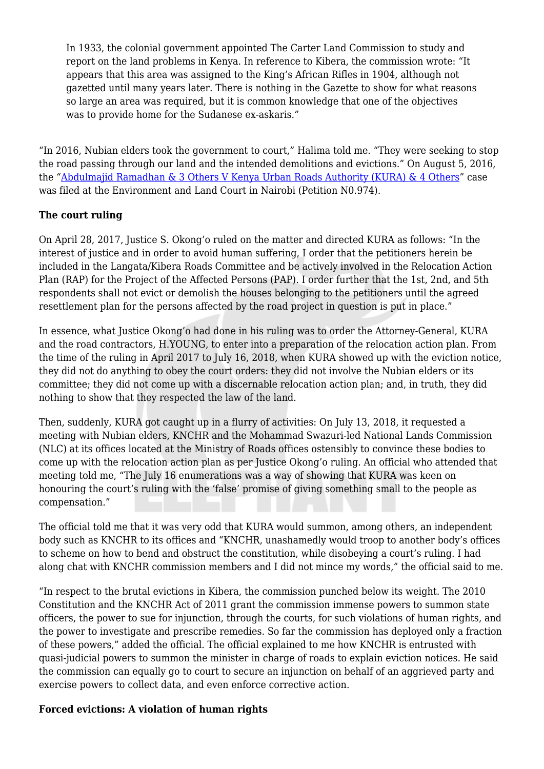In 1933, the colonial government appointed The Carter Land Commission to study and report on the land problems in Kenya. In reference to Kibera, the commission wrote: "It appears that this area was assigned to the King's African Rifles in 1904, although not gazetted until many years later. There is nothing in the Gazette to show for what reasons so large an area was required, but it is common knowledge that one of the objectives was to provide home for the Sudanese ex-askaris."

"In 2016, Nubian elders took the government to court," Halima told me. "They were seeking to stop the road passing through our land and the intended demolitions and evictions." On August 5, 2016, the "[Abdulmajid Ramadhan & 3 Others V Kenya Urban Roads Authority \(KURA\) & 4 Others](http://kenyalaw.org/caselaw/cases/view/137069)" case was filed at the Environment and Land Court in Nairobi (Petition N0.974).

## **The court ruling**

On April 28, 2017, Justice S. Okong'o ruled on the matter and directed KURA as follows: "In the interest of justice and in order to avoid human suffering, I order that the petitioners herein be included in the Langata/Kibera Roads Committee and be actively involved in the Relocation Action Plan (RAP) for the Project of the Affected Persons (PAP). I order further that the 1st, 2nd, and 5th respondents shall not evict or demolish the houses belonging to the petitioners until the agreed resettlement plan for the persons affected by the road project in question is put in place."

In essence, what Justice Okong'o had done in his ruling was to order the Attorney-General, KURA and the road contractors, H.YOUNG, to enter into a preparation of the relocation action plan. From the time of the ruling in April 2017 to July 16, 2018, when KURA showed up with the eviction notice, they did not do anything to obey the court orders: they did not involve the Nubian elders or its committee; they did not come up with a discernable relocation action plan; and, in truth, they did nothing to show that they respected the law of the land.

Then, suddenly, KURA got caught up in a flurry of activities: On July 13, 2018, it requested a meeting with Nubian elders, KNCHR and the Mohammad Swazuri-led National Lands Commission (NLC) at its offices located at the Ministry of Roads offices ostensibly to convince these bodies to come up with the relocation action plan as per Justice Okong'o ruling. An official who attended that meeting told me, "The July 16 enumerations was a way of showing that KURA was keen on honouring the court's ruling with the 'false' promise of giving something small to the people as compensation."

The official told me that it was very odd that KURA would summon, among others, an independent body such as KNCHR to its offices and "KNCHR, unashamedly would troop to another body's offices to scheme on how to bend and obstruct the constitution, while disobeying a court's ruling. I had along chat with KNCHR commission members and I did not mince my words," the official said to me.

"In respect to the brutal evictions in Kibera, the commission punched below its weight. The 2010 Constitution and the KNCHR Act of 2011 grant the commission immense powers to summon state officers, the power to sue for injunction, through the courts, for such violations of human rights, and the power to investigate and prescribe remedies. So far the commission has deployed only a fraction of these powers," added the official. The official explained to me how KNCHR is entrusted with quasi-judicial powers to summon the minister in charge of roads to explain eviction notices. He said the commission can equally go to court to secure an injunction on behalf of an aggrieved party and exercise powers to collect data, and even enforce corrective action.

## **Forced evictions: A violation of human rights**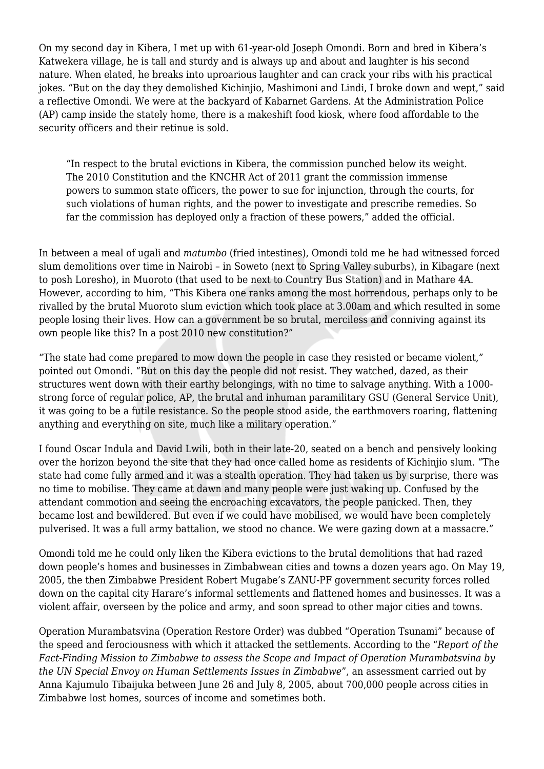On my second day in Kibera, I met up with 61-year-old Joseph Omondi. Born and bred in Kibera's Katwekera village, he is tall and sturdy and is always up and about and laughter is his second nature. When elated, he breaks into uproarious laughter and can crack your ribs with his practical jokes. "But on the day they demolished Kichinjio, Mashimoni and Lindi, I broke down and wept," said a reflective Omondi. We were at the backyard of Kabarnet Gardens. At the Administration Police (AP) camp inside the stately home, there is a makeshift food kiosk, where food affordable to the security officers and their retinue is sold.

"In respect to the brutal evictions in Kibera, the commission punched below its weight. The 2010 Constitution and the KNCHR Act of 2011 grant the commission immense powers to summon state officers, the power to sue for injunction, through the courts, for such violations of human rights, and the power to investigate and prescribe remedies. So far the commission has deployed only a fraction of these powers," added the official.

In between a meal of ugali and *matumbo* (fried intestines), Omondi told me he had witnessed forced slum demolitions over time in Nairobi – in Soweto (next to Spring Valley suburbs), in Kibagare (next to posh Loresho), in Muoroto (that used to be next to Country Bus Station) and in Mathare 4A. However, according to him, "This Kibera one ranks among the most horrendous, perhaps only to be rivalled by the brutal Muoroto slum eviction which took place at 3.00am and which resulted in some people losing their lives. How can a government be so brutal, merciless and conniving against its own people like this? In a post 2010 new constitution?"

"The state had come prepared to mow down the people in case they resisted or became violent," pointed out Omondi. "But on this day the people did not resist. They watched, dazed, as their structures went down with their earthy belongings, with no time to salvage anything. With a 1000 strong force of regular police, AP, the brutal and inhuman paramilitary GSU (General Service Unit), it was going to be a futile resistance. So the people stood aside, the earthmovers roaring, flattening anything and everything on site, much like a military operation."

I found Oscar Indula and David Lwili, both in their late-20, seated on a bench and pensively looking over the horizon beyond the site that they had once called home as residents of Kichinjio slum. "The state had come fully armed and it was a stealth operation. They had taken us by surprise, there was no time to mobilise. They came at dawn and many people were just waking up. Confused by the attendant commotion and seeing the encroaching excavators, the people panicked. Then, they became lost and bewildered. But even if we could have mobilised, we would have been completely pulverised. It was a full army battalion, we stood no chance. We were gazing down at a massacre."

Omondi told me he could only liken the Kibera evictions to the brutal demolitions that had razed down people's homes and businesses in Zimbabwean cities and towns a dozen years ago. On May 19, 2005, the then Zimbabwe President Robert Mugabe's ZANU-PF government security forces rolled down on the capital city Harare's informal settlements and flattened homes and businesses. It was a violent affair, overseen by the police and army, and soon spread to other major cities and towns.

Operation Murambatsvina (Operation Restore Order) was dubbed "Operation Tsunami" because of the speed and ferociousness with which it attacked the settlements. According to the "*Report of the Fact-Finding Mission to Zimbabwe to assess the Scope and Impact of Operation Murambatsvina by the UN Special Envoy on Human Settlements Issues in Zimbabwe*", an assessment carried out by Anna Kajumulo Tibaijuka between June 26 and July 8, 2005, about 700,000 people across cities in Zimbabwe lost homes, sources of income and sometimes both.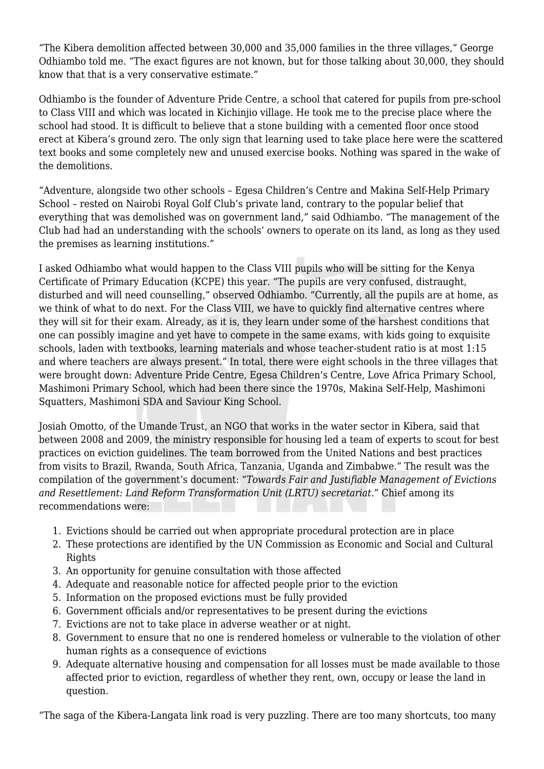"The Kibera demolition affected between 30,000 and 35,000 families in the three villages," George Odhiambo told me. "The exact figures are not known, but for those talking about 30,000, they should know that that is a very conservative estimate."

Odhiambo is the founder of Adventure Pride Centre, a school that catered for pupils from pre-school to Class VIII and which was located in Kichinjio village. He took me to the precise place where the school had stood. It is difficult to believe that a stone building with a cemented floor once stood erect at Kibera's ground zero. The only sign that learning used to take place here were the scattered text books and some completely new and unused exercise books. Nothing was spared in the wake of the demolitions.

"Adventure, alongside two other schools – Egesa Children's Centre and Makina Self-Help Primary School – rested on Nairobi Royal Golf Club's private land, contrary to the popular belief that everything that was demolished was on government land," said Odhiambo. "The management of the Club had had an understanding with the schools' owners to operate on its land, as long as they used the premises as learning institutions."

I asked Odhiambo what would happen to the Class VIII pupils who will be sitting for the Kenya Certificate of Primary Education (KCPE) this year. "The pupils are very confused, distraught, disturbed and will need counselling," observed Odhiambo. "Currently, all the pupils are at home, as we think of what to do next. For the Class VIII, we have to quickly find alternative centres where they will sit for their exam. Already, as it is, they learn under some of the harshest conditions that one can possibly imagine and yet have to compete in the same exams, with kids going to exquisite schools, laden with textbooks, learning materials and whose teacher-student ratio is at most 1:15 and where teachers are always present." In total, there were eight schools in the three villages that were brought down: Adventure Pride Centre, Egesa Children's Centre, Love Africa Primary School, Mashimoni Primary School, which had been there since the 1970s, Makina Self-Help, Mashimoni Squatters, Mashimoni SDA and Saviour King School.

Josiah Omotto, of the Umande Trust, an NGO that works in the water sector in Kibera, said that between 2008 and 2009, the ministry responsible for housing led a team of experts to scout for best practices on eviction guidelines. The team borrowed from the United Nations and best practices from visits to Brazil, Rwanda, South Africa, Tanzania, Uganda and Zimbabwe." The result was the compilation of the government's document: "*Towards Fair and Justifiable Management of Evictions and Resettlement: Land Reform Transformation Unit (LRTU) secretariat*." Chief among its recommendations were:

- 1. Evictions should be carried out when appropriate procedural protection are in place
- 2. These protections are identified by the UN Commission as Economic and Social and Cultural **Rights**
- 3. An opportunity for genuine consultation with those affected
- 4. Adequate and reasonable notice for affected people prior to the eviction
- 5. Information on the proposed evictions must be fully provided
- 6. Government officials and/or representatives to be present during the evictions
- 7. Evictions are not to take place in adverse weather or at night.
- 8. Government to ensure that no one is rendered homeless or vulnerable to the violation of other human rights as a consequence of evictions
- 9. Adequate alternative housing and compensation for all losses must be made available to those affected prior to eviction, regardless of whether they rent, own, occupy or lease the land in question.

"The saga of the Kibera-Langata link road is very puzzling. There are too many shortcuts, too many